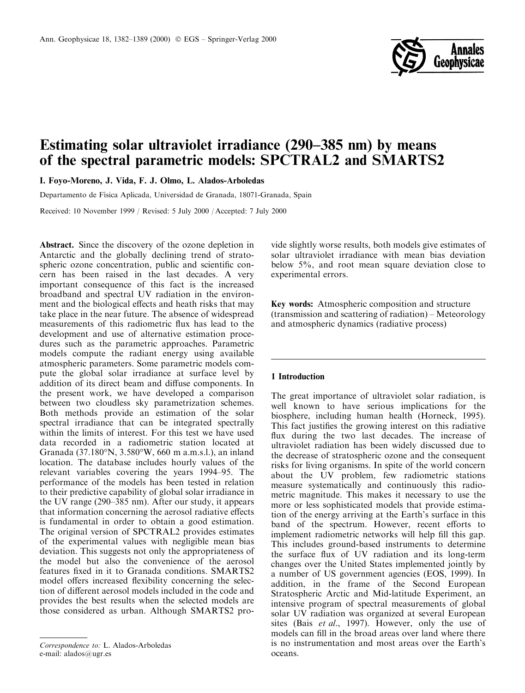

# Estimating solar ultraviolet irradiance (290–385 nm) by means of the spectral parametric models: SPCTRAL2 and SMARTS2

I. Foyo-Moreno, J. Vida, F. J. Olmo, L. Alados-Arboledas

Departamento de Física Aplicada, Universidad de Granada, 18071-Granada, Spain

Received: 10 November 1999 / Revised: 5 July 2000 / Accepted: 7 July 2000

**Abstract.** Since the discovery of the ozone depletion in Antarctic and the globally declining trend of stratospheric ozone concentration, public and scientific concern has been raised in the last decades. A very important consequence of this fact is the increased broadband and spectral UV radiation in the environment and the biological effects and heath risks that may take place in the near future. The absence of widespread measurements of this radiometric flux has lead to the development and use of alternative estimation procedures such as the parametric approaches. Parametric models compute the radiant energy using available atmospheric parameters. Some parametric models compute the global solar irradiance at surface level by addition of its direct beam and diffuse components. In the present work, we have developed a comparison between two cloudless sky parametrization schemes. Both methods provide an estimation of the solar spectral irradiance that can be integrated spectrally within the limits of interest. For this test we have used data recorded in a radiometric station located at Granada (37.180°N, 3.580°W, 660 m a.m.s.l.), an inland location. The database includes hourly values of the relevant variables covering the years 1994–95. The performance of the models has been tested in relation to their predictive capability of global solar irradiance in the UV range (290–385 nm). After our study, it appears that information concerning the aerosol radiative effects is fundamental in order to obtain a good estimation. The original version of SPCTRAL2 provides estimates of the experimental values with negligible mean bias deviation. This suggests not only the appropriateness of the model but also the convenience of the aerosol features fixed in it to Granada conditions. SMARTS2 model offers increased flexibility concerning the selection of different aerosol models included in the code and provides the best results when the selected models are those considered as urban. Although SMARTS2 pro-

Correspondence to: L. Alados-Arboledas e-mail: alados@ugr.es

vide slightly worse results, both models give estimates of solar ultraviolet irradiance with mean bias deviation below 5%, and root mean square deviation close to experimental errors.

**Key words:** Atmospheric composition and structure (transmission and scattering of radiation) – Meteorology and atmospheric dynamics (radiative process)

### 1 Introduction

The great importance of ultraviolet solar radiation, is well known to have serious implications for the biosphere, including human health (Horneck, 1995). This fact justifies the growing interest on this radiative flux during the two last decades. The increase of ultraviolet radiation has been widely discussed due to the decrease of stratospheric ozone and the consequent risks for living organisms. In spite of the world concern about the UV problem, few radiometric stations measure systematically and continuously this radiometric magnitude. This makes it necessary to use the more or less sophisticated models that provide estimation of the energy arriving at the Earth's surface in this band of the spectrum. However, recent efforts to implement radiometric networks will help fill this gap. This includes ground-based instruments to determine the surface flux of UV radiation and its long-term changes over the United States implemented jointly by a number of US government agencies (EOS, 1999). In addition, in the frame of the Second European Stratospheric Arctic and Mid-latitude Experiment, an intensive program of spectral measurements of global solar UV radiation was organized at several European sites (Bais et al., 1997). However, only the use of models can fill in the broad areas over land where there is no instrumentation and most areas over the Earth's oceans.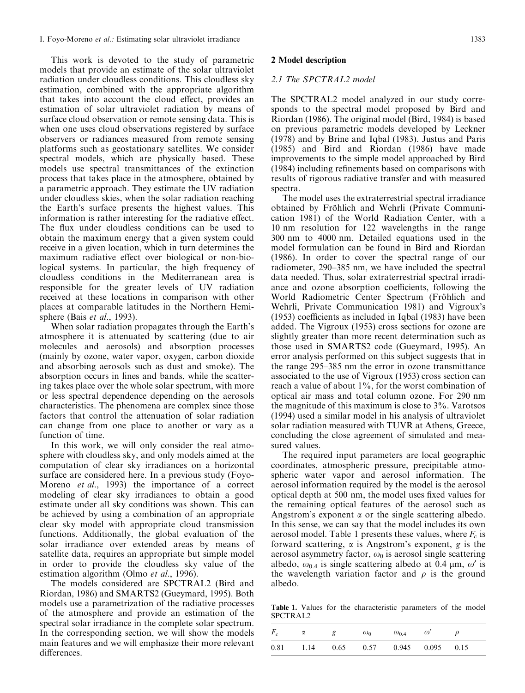This work is devoted to the study of parametric models that provide an estimate of the solar ultraviolet radiation under cloudless conditions. This cloudless sky estimation, combined with the appropriate algorithm that takes into account the cloud effect, provides an estimation of solar ultraviolet radiation by means of surface cloud observation or remote sensing data. This is when one uses cloud observations registered by surface observers or radiances measured from remote sensing platforms such as geostationary satellites. We consider spectral models, which are physically based. These models use spectral transmittances of the extinction process that takes place in the atmosphere, obtained by a parametric approach. They estimate the UV radiation under cloudless skies, when the solar radiation reaching the Earth's surface presents the highest values. This information is rather interesting for the radiative effect. The flux under cloudless conditions can be used to obtain the maximum energy that a given system could receive in a given location, which in turn determines the maximum radiative effect over biological or non-biological systems. In particular, the high frequency of cloudless conditions in the Mediterranean area is responsible for the greater levels of UV radiation received at these locations in comparison with other places at comparable latitudes in the Northern Hemisphere (Bais et al., 1993).

When solar radiation propagates through the Earth's atmosphere it is attenuated by scattering (due to air molecules and aerosols) and absorption processes (mainly by ozone, water vapor, oxygen, carbon dioxide and absorbing aerosols such as dust and smoke). The absorption occurs in lines and bands, while the scattering takes place over the whole solar spectrum, with more or less spectral dependence depending on the aerosols characteristics. The phenomena are complex since those factors that control the attenuation of solar radiation can change from one place to another or vary as a function of time.

In this work, we will only consider the real atmosphere with cloudless sky, and only models aimed at the computation of clear sky irradiances on a horizontal surface are considered here. In a previous study (Foyo-Moreno et al., 1993) the importance of a correct modeling of clear sky irradiances to obtain a good estimate under all sky conditions was shown. This can be achieved by using a combination of an appropriate clear sky model with appropriate cloud transmission functions. Additionally, the global evaluation of the solar irradiance over extended areas by means of satellite data, requires an appropriate but simple model in order to provide the cloudless sky value of the estimation algorithm (Olmo et al., 1996).

The models considered are SPCTRAL2 (Bird and Riordan, 1986) and SMARTS2 (Gueymard, 1995). Both models use a parametrization of the radiative processes of the atmosphere and provide an estimation of the spectral solar irradiance in the complete solar spectrum. In the corresponding section, we will show the models main features and we will emphasize their more relevant differences.

# 2 Model description

#### 2.1 The SPCTRAL2 model

The SPCTRAL2 model analyzed in our study corresponds to the spectral model proposed by Bird and Riordan (1986). The original model (Bird, 1984) is based on previous parametric models developed by Leckner (1978) and by Brine and Iqbal (1983). Justus and Paris (1985) and Bird and Riordan (1986) have made improvements to the simple model approached by Bird (1984) including refinements based on comparisons with results of rigorous radiative transfer and with measured spectra.

The model uses the extraterrestrial spectral irradiance obtained by Fröhlich and Wehrli (Private Communication 1981) of the World Radiation Center, with a 10 nm resolution for 122 wavelengths in the range 300 nm to 4000 nm. Detailed equations used in the model formulation can be found in Bird and Riordan (1986). In order to cover the spectral range of our radiometer, 290-385 nm, we have included the spectral data needed. Thus, solar extraterrestrial spectral irradiance and ozone absorption coefficients, following the World Radiometric Center Spectrum (Fröhlich and Wehrli, Private Communication 1981) and Vigroux's (1953) coefficients as included in Iqbal (1983) have been added. The Vigroux (1953) cross sections for ozone are slightly greater than more recent determination such as those used in SMARTS2 code (Gueymard, 1995). An error analysis performed on this subject suggests that in the range 295–385 nm the error in ozone transmittance associated to the use of Vigroux (1953) cross section can reach a value of about  $1\%$ , for the worst combination of optical air mass and total column ozone. For 290 nm the magnitude of this maximum is close to  $3\%$ . Varotsos (1994) used a similar model in his analysis of ultraviolet solar radiation measured with TUVR at Athens, Greece, concluding the close agreement of simulated and measured values.

The required input parameters are local geographic coordinates, atmospheric pressure, precipitable atmospheric water vapor and aerosol information. The aerosol information required by the model is the aerosol optical depth at 500 nm, the model uses fixed values for the remaining optical features of the aerosol such as Angstrom's exponent  $\alpha$  or the single scattering albedo. In this sense, we can say that the model includes its own aerosol model. Table 1 presents these values, where  $F_c$  is forward scattering,  $\alpha$  is Angstrom's exponent, g is the aerosol asymmetry factor,  $\omega_0$  is aerosol single scattering albedo,  $\omega_{0.4}$  is single scattering albedo at 0.4  $\mu$ m,  $\omega'$  is the wavelength variation factor and  $\rho$  is the ground albedo.

Table 1. Values for the characteristic parameters of the model SPCTRAL2

| $F_c$ | $\alpha$ g $\omega_0$ $\omega_{0.4}$ $\omega'$ |  |                                          |  |
|-------|------------------------------------------------|--|------------------------------------------|--|
|       |                                                |  | $0.81$ 1.14 $0.65$ 0.57 0.945 0.095 0.15 |  |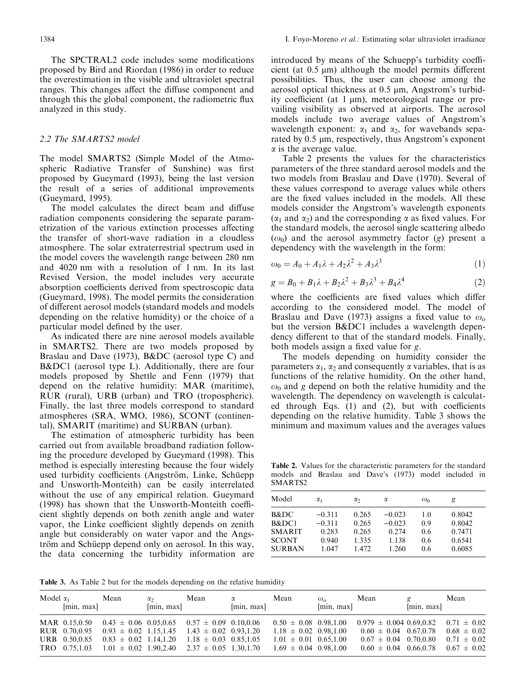The SPCTRAL2 code includes some modifications proposed by Bird and Riordan (1986) in order to reduce the overestimation in the visible and ultraviolet spectral ranges. This changes affect the diffuse component and through this the global component, the radiometric flux analyzed in this study.

# 2.2 The SMARTS2 model

The model SMARTS2 (Simple Model of the Atmospheric Radiative Transfer of Sunshine) was first proposed by Gueymard (1993), being the last version the result of a series of additional improvements (Gueymard, 1995).

The model calculates the direct beam and diffuse radiation components considering the separate parametrization of the various extinction processes affecting the transfer of short-wave radiation in a cloudless atmosphere. The solar extraterrestrial spectrum used in the model covers the wavelength range between 280 nm and 4020 nm with a resolution of 1 nm. In its last Revised Version, the model includes very accurate absorption coefficients derived from spectroscopic data (Gueymard, 1998). The model permits the consideration of different aerosol models (standard models and models depending on the relative humidity) or the choice of a particular model defined by the user.

As indicated there are nine aerosol models available in SMARTS2. There are two models proposed by Braslau and Dave (1973), B&DC (aerosol type C) and B&DC1 (aerosol type L). Additionally, there are four models proposed by Shettle and Fenn (1979) that depend on the relative humidity: MAR (maritime), RUR (rural), URB (urban) and TRO (tropospheric). Finally, the last three models correspond to standard atmospheres (SRA, WMO, 1986), SCONT (continental), SMARIT (maritime) and SURBAN (urban).

The estimation of atmospheric turbidity has been carried out from available broadband radiation following the procedure developed by Gueymard (1998). This method is especially interesting because the four widely used turbidity coefficients (Angström, Linke, Schüepp and Unsworth-Monteith) can be easily interrelated without the use of any empirical relation. Gueymard (1998) has shown that the Unsworth-Monteith coefficient slightly depends on both zenith angle and water vapor, the Linke coefficient slightly depends on zenith angle but considerably on water vapor and the Angström and Schüepp depend only on aerosol. In this way, the data concerning the turbidity information are introduced by means of the Schuepp's turbidity coefficient (at  $0.5 \mu m$ ) although the model permits different possibilities. Thus, the user can choose among the aerosol optical thickness at 0.5 μm, Angstrom's turbidity coefficient (at 1 µm), meteorological range or prevailing visibility as observed at airports. The aerosol models include two average values of Angstrom's wavelength exponent:  $\alpha_1$  and  $\alpha_2$ , for wavebands separated by 0.5 μm, respectively, thus Angstrom's exponent  $\alpha$  is the average value.

Table 2 presents the values for the characteristics parameters of the three standard aerosol models and the two models from Braslau and Dave (1970). Several of these values correspond to average values while others are the fixed values included in the models. All these models consider the Angstrom's wavelength exponents  $(\alpha_1$  and  $\alpha_2$ ) and the corresponding  $\alpha$  as fixed values. For the standard models, the aerosol single scattering albedo  $(\omega_0)$  and the aerosol asymmetry factor (g) present a dependency with the wavelength in the form:

$$
\omega_0 = A_0 + A_1 \lambda + A_2 \lambda^2 + A_3 \lambda^3 \tag{1}
$$

$$
g = B_0 + B_1 \lambda + B_2 \lambda^2 + B_3 \lambda^3 + B_4 \lambda^4 \tag{2}
$$

where the coefficients are fixed values which differ according to the considered model. The model of Braslau and Dave (1973) assigns a fixed value to  $\omega_0$ but the version B&DC1 includes a wavelength dependency different to that of the standard models. Finally, both models assign a fixed value for g.

The models depending on humidity consider the parameters  $\alpha_1$ ,  $\alpha_2$  and consequently  $\alpha$  variables, that is as functions of the relative humidity. On the other hand,  $\omega_0$  and g depend on both the relative humidity and the wavelength. The dependency on wavelength is calculated through Eqs. (1) and (2), but with coefficients depending on the relative humidity. Table 3 shows the minimum and maximum values and the averages values

Table 2. Values for the characteristic parameters for the standard models and Braslau and Dave's (1973) model included in SMARTS2

| Model         | $\alpha_1$ | $\alpha_{2}$ | α        | $\omega_0$ | g      |
|---------------|------------|--------------|----------|------------|--------|
| B&DC          | $-0.311$   | 0.265        | $-0.023$ | 1.0        | 0.8042 |
| B&DC1         | $-0.311$   | 0.265        | $-0.023$ | 0.9        | 0.8042 |
| <b>SMARIT</b> | 0.283      | 0.265        | 0.274    | 0.6        | 0.7471 |
| <b>SCONT</b>  | 0.940      | 1.335        | 1.138    | 0.6        | 0.6541 |
| <b>SURBAN</b> | 1.047      | 1.472        | 1.260    | 0.6        | 0.6085 |

Table 3. As Table 2 but for the models depending on the relative humidity

| Model $\alpha_1$ | $[\min, \max]$                                                   | Mean                                                                                                                                                                                                                                       | $\alpha_{2}$<br>$[\min, \max]$ | Mean | α<br>$[\min, \max]$ | Mean                                                                                                                  | $\omega_{\alpha}$<br>$[\min, \max]$ | Mean                                                                                                                                                                           | g<br>[min, max] | Mean            |
|------------------|------------------------------------------------------------------|--------------------------------------------------------------------------------------------------------------------------------------------------------------------------------------------------------------------------------------------|--------------------------------|------|---------------------|-----------------------------------------------------------------------------------------------------------------------|-------------------------------------|--------------------------------------------------------------------------------------------------------------------------------------------------------------------------------|-----------------|-----------------|
|                  | MAR 0.15,0.50<br>RUR 0.70,0.95<br>URB 0.50,0.85<br>TRO 0.75.1.03 | $0.43 \pm 0.06 \quad 0.05, 0.65 \quad 0.57 \pm 0.09 \quad 0.10, 0.06$<br>$0.93 \pm 0.02$ 1.15,1.45 1.43 $\pm$ 0.02 0.93,1.20<br>$0.83 \pm 0.02$ 1.14,1.20 1.18 $\pm$ 0.03 0.85,1.05<br>$1.01 \pm 0.02$ 1.90,2.40 2.37 $\pm$ 0.05 1.30,1.70 |                                |      |                     | $0.50 \pm 0.08$ 0.98,1.00<br>$1.18 \pm 0.02$ 0.98.1.00<br>$1.01 \pm 0.01 \pm 0.65, 1.00$<br>$1.69 \pm 0.04$ 0.98,1.00 |                                     | $0.979 \pm 0.004 \pm 0.69, 0.82 \pm 0.71 \pm 0.02$<br>$0.60 \pm 0.04 \pm 0.67, 0.78$<br>$0.67 \pm 0.04$ 0.70,0.80 0.71 $\pm$ 0.02<br>$0.60 \pm 0.04$ 0.66,0.78 0.67 $\pm$ 0.02 |                 | $0.68 \pm 0.02$ |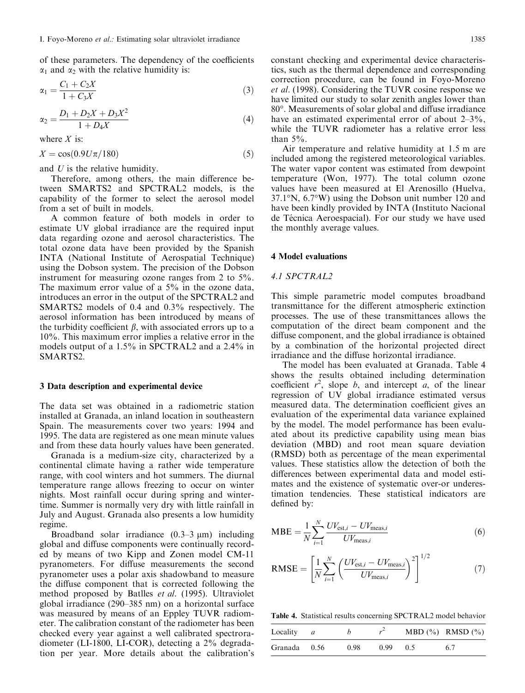of these parameters. The dependency of the coefficients  $\alpha_1$  and  $\alpha_2$  with the relative humidity is:

$$
\alpha_1 = \frac{C_1 + C_2 X}{1 + C_3 X} \tag{3}
$$

$$
\alpha_2 = \frac{D_1 + D_2 X + D_3 X^2}{1 + D_4 X} \tag{4}
$$

where  $X$  is:

$$
X = \cos(0.9U\pi/180) \tag{5}
$$

and  $U$  is the relative humidity.

Therefore, among others, the main difference between SMARTS2 and SPCTRAL2 models, is the capability of the former to select the aerosol model from a set of built in models.

A common feature of both models in order to estimate UV global irradiance are the required input data regarding ozone and aerosol characteristics. The total ozone data have been provided by the Spanish INTA (National Institute of Aerospatial Technique) using the Dobson system. The precision of the Dobson instrument for measuring ozone ranges from 2 to 5%. The maximum error value of a  $5\%$  in the ozone data, introduces an error in the output of the SPCTRAL2 and SMARTS2 models of 0.4 and 0.3% respectively. The aerosol information has been introduced by means of the turbidity coefficient  $\beta$ , with associated errors up to a  $10\%$ . This maximum error implies a relative error in the models output of a 1.5% in SPCTRAL2 and a 2.4% in SMARTS2.

#### 3 Data description and experimental device

The data set was obtained in a radiometric station installed at Granada, an inland location in southeastern Spain. The measurements cover two years: 1994 and 1995. The data are registered as one mean minute values and from these data hourly values have been generated.

Granada is a medium-size city, characterized by a continental climate having a rather wide temperature range, with cool winters and hot summers. The diurnal temperature range allows freezing to occur on winter nights. Most rainfall occur during spring and wintertime. Summer is normally very dry with little rainfall in July and August. Granada also presents a low humidity regime.

Broadband solar irradiance  $(0.3-3 \mu m)$  including global and diffuse components were continually recorded by means of two Kipp and Zonen model CM-11 pyranometers. For diffuse measurements the second pyranometer uses a polar axis shadowband to measure the diffuse component that is corrected following the method proposed by Batlles et al. (1995). Ultraviolet global irradiance  $(290-385 \text{ nm})$  on a horizontal surface was measured by means of an Eppley TUVR radiometer. The calibration constant of the radiometer has been checked every year against a well calibrated spectroradiometer (LI-1800, LI-COR), detecting a 2% degradation per year. More details about the calibration's constant checking and experimental device characteristics, such as the thermal dependence and corresponding correction procedure, can be found in Foyo-Moreno et al. (1998). Considering the TUVR cosine response we have limited our study to solar zenith angles lower than 80°. Measurements of solar global and diffuse irradiance have an estimated experimental error of about  $2\text{--}3\%$ , while the TUVR radiometer has a relative error less than  $5\%$ .

Air temperature and relative humidity at 1.5 m are included among the registered meteorological variables. The water vapor content was estimated from dewpoint temperature (Won, 1977). The total column ozone values have been measured at El Arenosillo (Huelva,  $37.1^\circ$ N,  $6.7^\circ$ W) using the Dobson unit number 120 and have been kindly provided by INTA (Instituto Nacional de Técnica Aeroespacial). For our study we have used the monthly average values.

## **4 Model evaluations**

# 4.1 SPCTRAL2

This simple parametric model computes broadband transmittance for the different atmospheric extinction processes. The use of these transmittances allows the computation of the direct beam component and the diffuse component, and the global irradiance is obtained by a combination of the horizontal projected direct irradiance and the diffuse horizontal irradiance.

The model has been evaluated at Granada. Table 4 shows the results obtained including determination coefficient  $r^2$ , slope b, and intercept a, of the linear regression of UV global irradiance estimated versus measured data. The determination coefficient gives an evaluation of the experimental data variance explained by the model. The model performance has been evaluated about its predictive capability using mean bias deviation (MBD) and root mean square deviation (RMSD) both as percentage of the mean experimental values. These statistics allow the detection of both the differences between experimental data and model estimates and the existence of systematic over-or underestimation tendencies. These statistical indicators are defined by:

$$
MBE = \frac{1}{N} \sum_{i=1}^{N} \frac{UV_{\text{est},i} - UV_{\text{meas},i}}{UV_{\text{meas},i}} \tag{6}
$$

$$
\text{RMSE} = \left[ \frac{1}{N} \sum_{i=1}^{N} \left( \frac{UV_{\text{est},i} - UV_{\text{meas},i}}{UV_{\text{meas},i}} \right)^2 \right]^{1/2} \tag{7}
$$

Table 4. Statistical results concerning SPCTRAL2 model behavior

| Locality     | a |      |      |     | MBD $(\% )$ RMSD $(\% )$ |
|--------------|---|------|------|-----|--------------------------|
| Granada 0.56 |   | 0.98 | 0.99 | 0.5 | 6.7                      |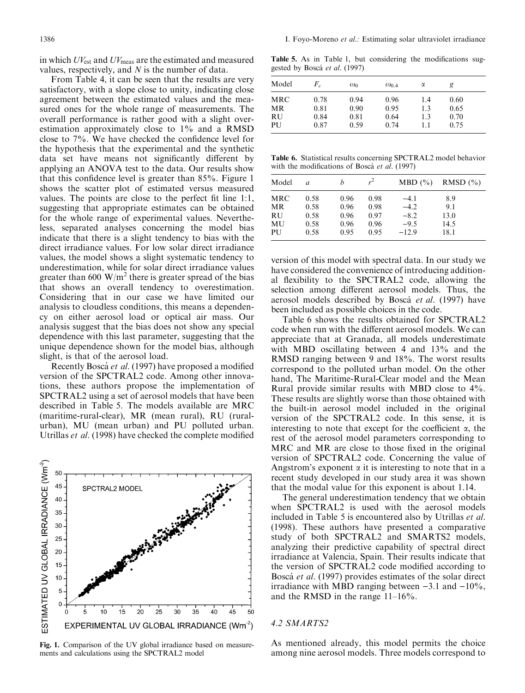in which  $UV_{est}$  and  $UV_{meas}$  are the estimated and measured values, respectively, and  $N$  is the number of data.

From Table 4, it can be seen that the results are very satisfactory, with a slope close to unity, indicating close agreement between the estimated values and the measured ones for the whole range of measurements. The overall performance is rather good with a slight overestimation approximately close to 1% and a RMSD close to 7%. We have checked the confidence level for the hypothesis that the experimental and the synthetic data set have means not significantly different by applying an ANOVA test to the data. Our results show that this confidence level is greater than 85%. Figure 1 shows the scatter plot of estimated versus measured values. The points are close to the perfect fit line 1:1, suggesting that appropriate estimates can be obtained for the whole range of experimental values. Nevertheless, separated analyses concerning the model bias indicate that there is a slight tendency to bias with the direct irradiance values. For low solar direct irradiance values, the model shows a slight systematic tendency to underestimation, while for solar direct irradiance values greater than 600  $\text{W/m}^2$  there is greater spread of the bias that shows an overall tendency to overestimation. Considering that in our case we have limited our analysis to cloudless conditions, this means a dependency on either aerosol load or optical air mass. Our analysis suggest that the bias does not show any special dependence with this last parameter, suggesting that the unique dependence shown for the model bias, although slight, is that of the aerosol load.

Recently Boscá et al. (1997) have proposed a modified version of the SPCTRAL2 code. Among other innovations, these authors propose the implementation of SPCTRAL2 using a set of aerosol models that have been described in Table 5. The models available are MRC (maritime-rural-clear), MR (mean rural), RU (ruralurban), MU (mean urban) and PU polluted urban. Utrillas et al. (1998) have checked the complete modified



Fig. 1. Comparison of the UV global irradiance based on measurements and calculations using the SPCTRAL2 model

Table 5. As in Table 1, but considering the modifications suggested by Boscá et al. (1997)

| Model | $F_c$ | $\omega_0$ | $\omega_{0.4}$ | α   | g    |  |
|-------|-------|------------|----------------|-----|------|--|
| MRC   | 0.78  | 0.94       | 0.96           | 1.4 | 0.60 |  |
| MR    | 0.81  | 0.90       | 0.95           | 1.3 | 0.65 |  |
| RU    | 0.84  | 0.81       | 0.64           | 1.3 | 0.70 |  |
| PU    | 0.87  | 0.59       | 0.74           | 1.1 | 0.75 |  |

Table 6. Statistical results concerning SPCTRAL2 model behavior with the modifications of Boscá et al. (1997)

| Model      | a    |      |      | MBD(%)  | RMSD $(\% )$ |
|------------|------|------|------|---------|--------------|
| <b>MRC</b> | 0.58 | 0.96 | 0.98 | $-4.1$  | 8.9          |
| MR         | 0.58 | 0.96 | 0.98 | $-4.2$  | 9.1          |
| <b>RU</b>  | 0.58 | 0.96 | 0.97 | $-8.2$  | 13.0         |
| MU         | 0.58 | 0.96 | 0.96 | $-9.5$  | 14.5         |
| PU         | 0.58 | 0.95 | 0.95 | $-12.9$ | 18.1         |

version of this model with spectral data. In our study we have considered the convenience of introducing additional flexibility to the SPCTRAL2 code, allowing the selection among different aerosol models. Thus, the aerosol models described by Boscá et al. (1997) have been included as possible choices in the code.

Table 6 shows the results obtained for SPCTRAL2 code when run with the different aerosol models. We can appreciate that at Granada, all models underestimate with MBD oscillating between 4 and 13% and the RMSD ranging between 9 and 18%. The worst results correspond to the polluted urban model. On the other hand, The Maritime-Rural-Clear model and the Mean Rural provide similar results with MBD close to 4%. These results are slightly worse than those obtained with the built-in aerosol model included in the original version of the SPCTRAL2 code. In this sense, it is interesting to note that except for the coefficient  $\alpha$ , the rest of the aerosol model parameters corresponding to MRC and MR are close to those fixed in the original version of SPCTRAL2 code. Concerning the value of Angstrom's exponent  $\alpha$  it is interesting to note that in a recent study developed in our study area it was shown that the modal value for this exponent is about 1.14.

The general underestimation tendency that we obtain when SPCTRAL2 is used with the aerosol models included in Table 5 is encountered also by Utrillas et al. (1998). These authors have presented a comparative study of both SPCTRAL2 and SMARTS2 models, analyzing their predictive capability of spectral direct irradiance at Valencia, Spain. Their results indicate that the version of SPCTRAL2 code modified according to Boscá et al. (1997) provides estimates of the solar direct irradiance with MBD ranging between  $-3.1$  and  $-10\%$ , and the RMSD in the range  $11-16\%$ .

#### 4.2 SMARTS2

As mentioned already, this model permits the choice among nine aerosol models. Three models correspond to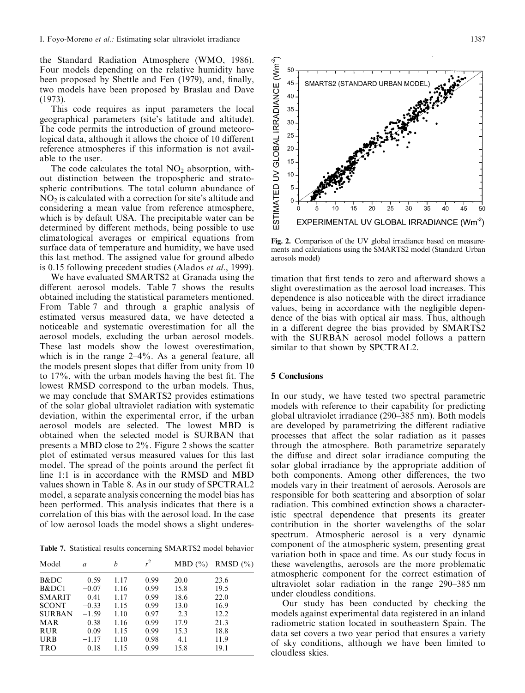the Standard Radiation Atmosphere (WMO, 1986). Four models depending on the relative humidity have been proposed by Shettle and Fen (1979), and, finally, two models have been proposed by Braslau and Dave  $(1973).$ 

This code requires as input parameters the local geographical parameters (site's latitude and altitude). The code permits the introduction of ground meteorological data, although it allows the choice of 10 different reference atmospheres if this information is not available to the user.

The code calculates the total  $NO<sub>2</sub>$  absorption, without distinction between the tropospheric and stratospheric contributions. The total column abundance of  $NO<sub>2</sub>$  is calculated with a correction for site's altitude and considering a mean value from reference atmosphere, which is by default USA. The precipitable water can be determined by different methods, being possible to use climatological averages or empirical equations from surface data of temperature and humidity, we have used this last method. The assigned value for ground albedo is 0.15 following precedent studies (Alados *et al.*, 1999).

We have evaluated SMARTS2 at Granada using the different aerosol models. Table 7 shows the results obtained including the statistical parameters mentioned. From Table 7 and through a graphic analysis of estimated versus measured data, we have detected a noticeable and systematic overestimation for all the aerosol models, excluding the urban aerosol models. These last models show the lowest overestimation, which is in the range  $2-4\%$ . As a general feature, all the models present slopes that differ from unity from 10 to 17%, with the urban models having the best fit. The lowest RMSD correspond to the urban models. Thus, we may conclude that SMARTS2 provides estimations of the solar global ultraviolet radiation with systematic deviation, within the experimental error, if the urban aerosol models are selected. The lowest MBD is obtained when the selected model is SURBAN that presents a MBD close to  $2\%$ . Figure 2 shows the scatter plot of estimated versus measured values for this last model. The spread of the points around the perfect fit line 1:1 is in accordance with the RMSD and MBD values shown in Table 8. As in our study of SPCTRAL2 model, a separate analysis concerning the model bias has been performed. This analysis indicates that there is a correlation of this bias with the aerosol load. In the case of low aerosol loads the model shows a slight underes-

Table 7. Statistical results concerning SMARTS2 model behavior

| Model         | a       | h    |      | MBD(%) | RMSD $(\% )$ |
|---------------|---------|------|------|--------|--------------|
| B&DC          | 0.59    | 1.17 | 0.99 | 20.0   | 23.6         |
| B&DC1         | $-0.07$ | 1.16 | 0.99 | 15.8   | 19.5         |
| <b>SMARIT</b> | 0.41    | 1.17 | 0.99 | 18.6   | 22.0         |
| <b>SCONT</b>  | $-0.33$ | 1.15 | 0.99 | 13.0   | 16.9         |
| <b>SURBAN</b> | $-1.59$ | 1.10 | 0.97 | 2.3    | 12.2         |
| <b>MAR</b>    | 0.38    | 1.16 | 0.99 | 17.9   | 21.3         |
| <b>RUR</b>    | 0.09    | 1.15 | 0.99 | 15.3   | 18.8         |
| <b>URB</b>    | $-1.17$ | 1.10 | 0.98 | 4.1    | 11.9         |
| <b>TRO</b>    | 0.18    | 1.15 | 0.99 | 15.8   | 19.1         |



Fig. 2. Comparison of the UV global irradiance based on measurements and calculations using the SMARTS2 model (Standard Urban aerosols model)

timation that first tends to zero and afterward shows a slight overestimation as the aerosol load increases. This dependence is also noticeable with the direct irradiance values, being in accordance with the negligible dependence of the bias with optical air mass. Thus, although in a different degree the bias provided by SMARTS2 with the SURBAN aerosol model follows a pattern similar to that shown by SPCTRAL2.

# **5 Conclusions**

In our study, we have tested two spectral parametric models with reference to their capability for predicting global ultraviolet irradiance (290–385 nm). Both models are developed by parametrizing the different radiative processes that affect the solar radiation as it passes through the atmosphere. Both parametrize separately the diffuse and direct solar irradiance computing the solar global irradiance by the appropriate addition of both components. Among other differences, the two models vary in their treatment of aerosols. Aerosols are responsible for both scattering and absorption of solar radiation. This combined extinction shows a characteristic spectral dependence that presents its greater contribution in the shorter wavelengths of the solar spectrum. Atmospheric aerosol is a very dynamic component of the atmospheric system, presenting great variation both in space and time. As our study focus in these wavelengths, aerosols are the more problematic atmospheric component for the correct estimation of ultraviolet solar radiation in the range 290–385 nm under cloudless conditions.

Our study has been conducted by checking the models against experimental data registered in an inland radiometric station located in southeastern Spain. The data set covers a two year period that ensures a variety of sky conditions, although we have been limited to cloudless skies.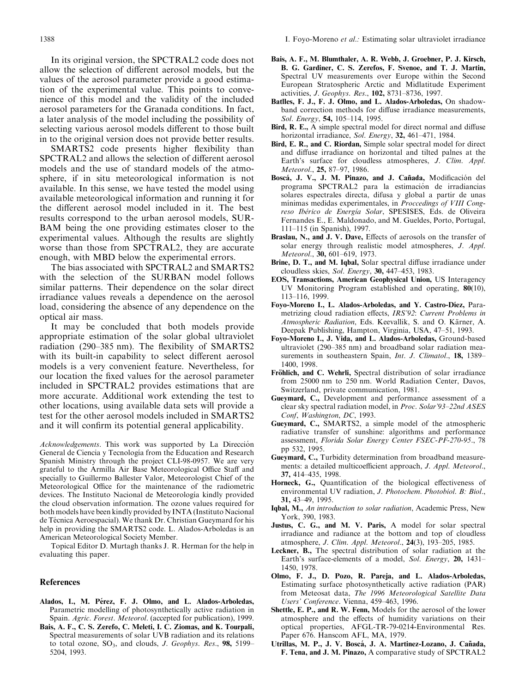In its original version, the SPCTRAL2 code does not allow the selection of different aerosol models, but the values of the aerosol parameter provide a good estimation of the experimental value. This points to convenience of this model and the validity of the included aerosol parameters for the Granada conditions. In fact, a later analysis of the model including the possibility of selecting various aerosol models different to those built in to the original version does not provide better results.

SMARTS2 code presents higher flexibility than SPCTRAL2 and allows the selection of different aerosol models and the use of standard models of the atmosphere, if in situ meteorological information is not available. In this sense, we have tested the model using available meteorological information and running it for the different aerosol model included in it. The best results correspond to the urban aerosol models, SUR-BAM being the one providing estimates closer to the experimental values. Although the results are slightly worse than those from SPCTRAL2, they are accurate enough, with MBD below the experimental errors.

The bias associated with SPCTRAL2 and SMARTS2 with the selection of the SURBAN model follows similar patterns. Their dependence on the solar direct irradiance values reveals a dependence on the aerosol load, considering the absence of any dependence on the optical air mass.

It may be concluded that both models provide appropriate estimation of the solar global ultraviolet radiation (290–385 nm). The flexibility of SMARTS2 with its built-in capability to select different aerosol models is a very convenient feature. Nevertheless, for our location the fixed values for the aerosol parameter included in SPCTRAL2 provides estimations that are more accurate. Additional work extending the test to other locations, using available data sets will provide a test for the other aerosol models included in SMARTS2 and it will confirm its potential general applicability.

Acknowledgements. This work was supported by La Dirección General de Ciencia y Tecnología from the Education and Research Spanish Ministry through the project CLI-98-0957. We are very grateful to the Armilla Air Base Meteorological Office Staff and specially to Guillermo Ballester Valor, Meteorologist Chief of the Meteorological Office for the maintenance of the radiometric devices. The Instituto Nacional de Meteorología kindly provided the cloud observation information. The ozone values required for both models have been kindly provided by INTA (Instituto Nacional de Técnica Aeroespacial). We thank Dr. Christian Gueymard for his help in providing the SMARTS2 code. L. Alados-Arboledas is an American Meteorological Society Member.

Topical Editor D. Murtagh thanks J. R. Herman for the help in evaluating this paper.

#### **References**

- Alados, I., M. Pérez, F. J. Olmo, and L. Alados-Arboledas, Parametric modelling of photosynthetically active radiation in Spain. Agric. Forest. Meteorol. (accepted for publication), 1999.
- Bais, A. F., C. S. Zerefo, C. Meleti, I. C. Ziomas, and K. Tourpali, Spectral measurements of solar UVB radiation and its relations to total ozone, SO<sub>3</sub>, and clouds, J. Geophys. Res., 98, 5199– 5204, 1993.
- Bais, A. F., M. Blumthaler, A. R. Webb, J. Groebner, P. J. Kirsch, B. G. Gardiner, C. S. Zerefos, F. Svenoe, and T. J. Martin, Spectral UV measurements over Europe within the Second European Stratospheric Arctic and Midlatitude Experiment activities, J. Geophys. Res., 102, 8731-8736, 1997.
- Batlles, F. J., F. J. Olmo, and L. Alados-Arboledas, On shadowband correction methods for diffuse irradiance measurements, Sol. Energy, 54, 105-114, 1995.
- Bird, R. E., A simple spectral model for direct normal and diffuse horizontal irradiance, Sol. Energy, 32, 461-471, 1984.
- Bird, E. R., and C. Riordan, Simple solar spectral model for direct and diffuse irradiance on horizontal and tilted palnes at the Earth's surface for cloudless atmospheres, *J. Clim. Appl.* Meteorol., 25, 87-97, 1986.
- Boscá, J. V., J. M. Pinazo, and J. Cañada, Modificación del programa SPCTRAL2 para la estimación de irradiancias solares espectrales directa, difusa y global a partir de unas mínimas medidas experimentales, in Proccedings of VIII Congreso Ibérico de Energía Solar, SPESISES, Eds. de Oliveira Fernandes E., E. Maldonado, and M. Gueldes, Porto, Portugal,  $111-115$  (in Spanish), 1997.
- Braslau, N., and J. V. Dave, Effects of aerosols on the transfer of solar energy through realistic model atmospheres, J. Appl. Meteorol., 30, 601-619, 1973.
- Brine, D. T., and M. Iqbal, Solar spectral diffuse irradiance under cloudless skies, Sol. Energy, 30, 447-453, 1983.
- EOS, Transactions, American Geophysical Union, US Interagency UV Monitoring Program established and operating, 80(10),  $113 - 116$ , 1999.
- Fovo-Moreno I., L. Alados-Arboledas, and Y. Castro-Diez, Parametrizing cloud radiation effects, IRS'92: Current Problems in Atmospheric Radiation, Eds. Keevallik, S. and O. Kärner, A. Deepak Publishing, Hampton, Virginia, USA, 47–51, 1993.
- Foyo-Moreno I., J. Vida, and L. Alados-Arboledas, Ground-based ultraviolet (290-385 nm) and broadband solar radiation measurements in southeastern Spain, Int. J. Climatol., 18, 1389-1400, 1998.
- Fröhlich, and C. Wehrli, Spectral distribution of solar irradiance from 25000 nm to 250 nm. World Radiation Center, Davos, Switzerland, private communication, 1981.
- Gueymard, C., Development and performance assessment of a clear sky spectral radiation model, in Proc. Solar '93-22nd ASES' Conf, Washington, DC, 1993.
- Gueymard, C., SMARTS2, a simple model of the atmospheric radiative transfer of sunshine: algorithms and performance assessment, Florida Solar Energy Center FSEC-PF-270-95., 78 pp 532, 1995.
- Gueymard, C., Turbidity determination from broadband measurements: a detailed multicoefficient approach, J. Appl. Meteorol., 37, 414–435, 1998
- Horneck, G., Quantification of the biological effectiveness of environmental UV radiation, J. Photochem. Photobiol. B: Biol., 31, 43-49, 1995.
- Iqbal, M., An introduction to solar radiation, Academic Press, New York, 390, 1983.
- Justus, C. G., and M. V. Paris, A model for solar spectral irradiance and radiance at the bottom and top of cloudless atmosphere, J. Clim. Appl. Meteorol., 24(3), 193-205, 1985.
- Leckner, B., The spectral distribution of solar radiation at the Earth's surface-elements of a model, Sol. Energy, 20, 1431-1450, 1978.
- Olmo, F. J., D. Pozo, R. Pareja, and L. Alados-Arboledas, Estimating surface photosynthetically active radiation (PAR) from Meteosat data, The 1996 Meteorological Satellite Data Users' Conference. Vienna, 459-463, 1996.
- Shettle, E. P., and R. W. Fenn, Models for the aerosol of the lower atmosphere and the effects of humidity variations on their optical properties, AFGL-TR-79-0214-Environmental Res. Paper 676. Hanscom AFL, MA, 1979.
- Utrillas, M. P., J. V. Boscá, J. A. Martinez-Lozano, J. Cañada, F. Tena, and J. M. Pinazo, A comparative study of SPCTRAL2